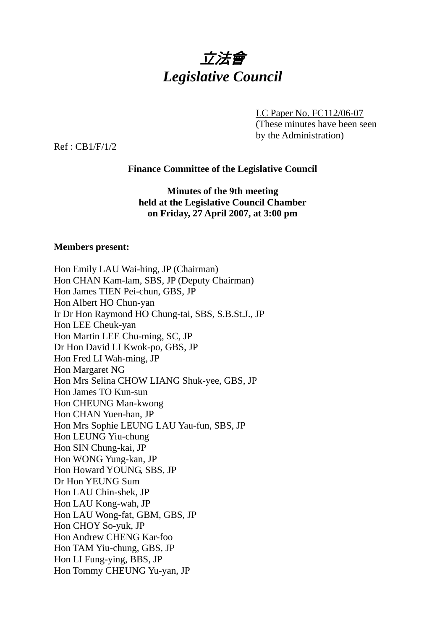

LC Paper No. FC112/06-07 (These minutes have been seen by the Administration)

Ref : CB1/F/1/2

# **Finance Committee of the Legislative Council**

**Minutes of the 9th meeting held at the Legislative Council Chamber on Friday, 27 April 2007, at 3:00 pm** 

## **Members present:**

| Hon Emily LAU Wai-hing, JP (Chairman)              |
|----------------------------------------------------|
| Hon CHAN Kam-lam, SBS, JP (Deputy Chairman)        |
| Hon James TIEN Pei-chun, GBS, JP                   |
| Hon Albert HO Chun-yan                             |
| Ir Dr Hon Raymond HO Chung-tai, SBS, S.B.St.J., JP |
| Hon LEE Cheuk-yan                                  |
| Hon Martin LEE Chu-ming, SC, JP                    |
| Dr Hon David LI Kwok-po, GBS, JP                   |
| Hon Fred LI Wah-ming, JP                           |
| Hon Margaret NG                                    |
| Hon Mrs Selina CHOW LIANG Shuk-yee, GBS, JP        |
| Hon James TO Kun-sun                               |
| Hon CHEUNG Man-kwong                               |
| Hon CHAN Yuen-han, JP                              |
| Hon Mrs Sophie LEUNG LAU Yau-fun, SBS, JP          |
| Hon LEUNG Yiu-chung                                |
| Hon SIN Chung-kai, JP                              |
| Hon WONG Yung-kan, JP                              |
| Hon Howard YOUNG, SBS, JP                          |
| Dr Hon YEUNG Sum                                   |
| Hon LAU Chin-shek, JP                              |
| Hon LAU Kong-wah, JP                               |
| Hon LAU Wong-fat, GBM, GBS, JP                     |
| Hon CHOY So-yuk, JP                                |
| Hon Andrew CHENG Kar-foo                           |
| Hon TAM Yiu-chung, GBS, JP                         |
| Hon LI Fung-ying, BBS, JP                          |
| Hon Tommy CHEUNG Yu-yan, JP                        |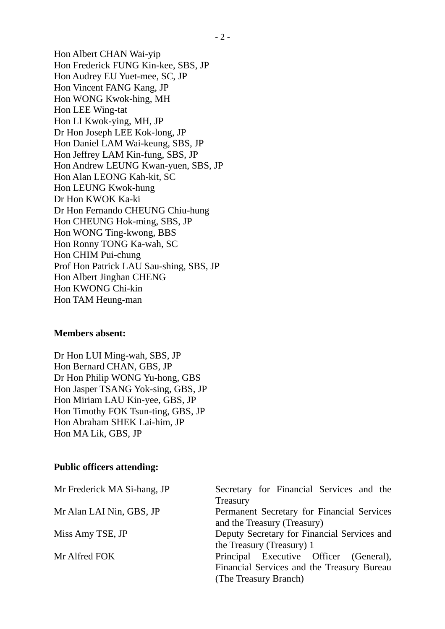Hon Albert CHAN Wai-yip Hon Frederick FUNG Kin-kee, SBS, JP Hon Audrey EU Yuet-mee, SC, JP Hon Vincent FANG Kang, JP Hon WONG Kwok-hing, MH Hon LEE Wing-tat Hon LI Kwok-ying, MH, JP Dr Hon Joseph LEE Kok-long, JP Hon Daniel LAM Wai-keung, SBS, JP Hon Jeffrey LAM Kin-fung, SBS, JP Hon Andrew LEUNG Kwan-yuen, SBS, JP Hon Alan LEONG Kah-kit, SC Hon LEUNG Kwok-hung Dr Hon KWOK Ka-ki Dr Hon Fernando CHEUNG Chiu-hung Hon CHEUNG Hok-ming, SBS, JP Hon WONG Ting-kwong, BBS Hon Ronny TONG Ka-wah, SC Hon CHIM Pui-chung Prof Hon Patrick LAU Sau-shing, SBS, JP Hon Albert Jinghan CHENG Hon KWONG Chi-kin Hon TAM Heung-man

#### **Members absent:**

Dr Hon LUI Ming-wah, SBS, JP Hon Bernard CHAN, GBS, JP Dr Hon Philip WONG Yu-hong, GBS Hon Jasper TSANG Yok-sing, GBS, JP Hon Miriam LAU Kin-yee, GBS, JP Hon Timothy FOK Tsun-ting, GBS, JP Hon Abraham SHEK Lai-him, JP Hon MA Lik, GBS, JP

#### **Public officers attending:**

| Mr Frederick MA Si-hang, JP | Secretary for Financial Services and the<br>Treasury |
|-----------------------------|------------------------------------------------------|
| Mr Alan LAI Nin, GBS, JP    | Permanent Secretary for Financial Services           |
|                             | and the Treasury (Treasury)                          |
| Miss Amy TSE, JP            | Deputy Secretary for Financial Services and          |
|                             | the Treasury (Treasury) 1                            |
| Mr Alfred FOK               | Principal Executive Officer (General),               |
|                             | Financial Services and the Treasury Bureau           |
|                             | (The Treasury Branch)                                |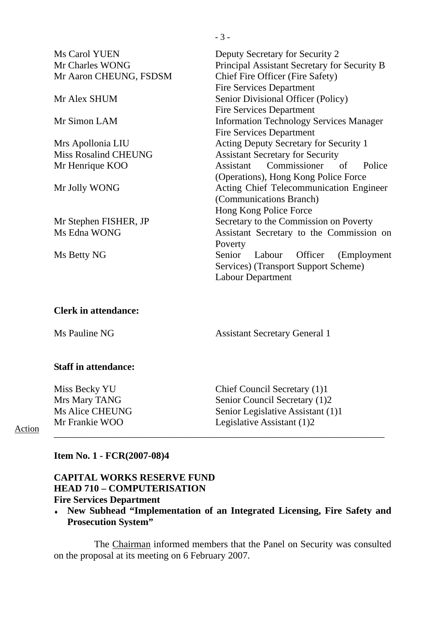| Ms Carol YUEN               | Deputy Secretary for Security 2                |
|-----------------------------|------------------------------------------------|
| Mr Charles WONG             | Principal Assistant Secretary for Security B   |
| Mr Aaron CHEUNG, FSDSM      | Chief Fire Officer (Fire Safety)               |
|                             | <b>Fire Services Department</b>                |
| Mr Alex SHUM                | Senior Divisional Officer (Policy)             |
|                             | <b>Fire Services Department</b>                |
| Mr Simon LAM                | <b>Information Technology Services Manager</b> |
|                             | <b>Fire Services Department</b>                |
| Mrs Apollonia LIU           | <b>Acting Deputy Secretary for Security 1</b>  |
| <b>Miss Rosalind CHEUNG</b> | <b>Assistant Secretary for Security</b>        |
| Mr Henrique KOO             | Assistant Commissioner of<br>Police            |
|                             | (Operations), Hong Kong Police Force           |
| Mr Jolly WONG               | Acting Chief Telecommunication Engineer        |
|                             | (Communications Branch)                        |
|                             | Hong Kong Police Force                         |
| Mr Stephen FISHER, JP       | Secretary to the Commission on Poverty         |
| Ms Edna WONG                | Assistant Secretary to the Commission on       |
|                             | Poverty                                        |
| Ms Betty NG                 | Senior<br>Officer<br>(Employment<br>Labour     |
|                             | Services) (Transport Support Scheme)           |
|                             | Labour Department                              |
|                             |                                                |
|                             |                                                |
|                             |                                                |

# **Clerk in attendance:**

Ms Pauline NG Assistant Secretary General 1

#### **Staff in attendance:**

Miss Becky YU<br>
Chief Council Secretary (1)1<br>
Mrs Mary TANG<br>
Senior Council Secretary (1)2 Mrs Mary TANG<br>
Ms Alice CHEUNG<br>
Ms Alice CHEUNG<br>
Senior Legislative Assistant (1) Senior Legislative Assistant (1)1 Mr Frankie WOO Legislative Assistant (1)2 \_\_\_\_\_\_\_\_\_\_\_\_\_\_\_\_\_\_\_\_\_\_\_\_\_\_\_\_\_\_\_\_\_\_\_\_\_\_\_\_\_\_\_\_\_\_\_\_\_\_\_\_\_\_\_\_\_\_\_\_\_\_\_\_\_\_\_\_

Action

### **Item No. 1 - FCR(2007-08)4**

### **CAPITAL WORKS RESERVE FUND HEAD 710 – COMPUTERISATION Fire Services Department**

♦ **New Subhead "Implementation of an Integrated Licensing, Fire Safety and**  Prosecution System"

 The Chairman informed members that the Panel on Security was consulted on the proposal at its meeting on 6 February 2007.

- 3 -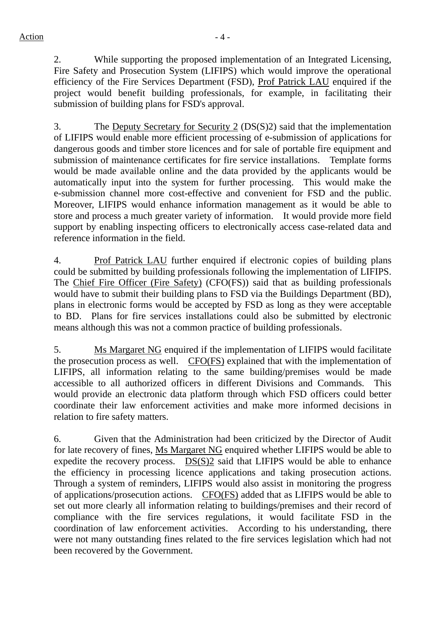2. While supporting the proposed implementation of an Integrated Licensing, Fire Safety and Prosecution System (LIFIPS) which would improve the operational efficiency of the Fire Services Department (FSD), Prof Patrick LAU enquired if the project would benefit building professionals, for example, in facilitating their submission of building plans for FSD's approval.

3. The Deputy Secretary for Security 2 (DS(S)2) said that the implementation of LIFIPS would enable more efficient processing of e-submission of applications for dangerous goods and timber store licences and for sale of portable fire equipment and submission of maintenance certificates for fire service installations. Template forms would be made available online and the data provided by the applicants would be automatically input into the system for further processing. This would make the e-submission channel more cost-effective and convenient for FSD and the public. Moreover, LIFIPS would enhance information management as it would be able to store and process a much greater variety of information. It would provide more field support by enabling inspecting officers to electronically access case-related data and reference information in the field.

4. Prof Patrick LAU further enquired if electronic copies of building plans could be submitted by building professionals following the implementation of LIFIPS. The Chief Fire Officer (Fire Safety) (CFO(FS)) said that as building professionals would have to submit their building plans to FSD via the Buildings Department (BD), plans in electronic forms would be accepted by FSD as long as they were acceptable to BD. Plans for fire services installations could also be submitted by electronic means although this was not a common practice of building professionals.

5. Ms Margaret NG enquired if the implementation of LIFIPS would facilitate the prosecution process as well. CFO(FS) explained that with the implementation of LIFIPS, all information relating to the same building/premises would be made accessible to all authorized officers in different Divisions and Commands. This would provide an electronic data platform through which FSD officers could better coordinate their law enforcement activities and make more informed decisions in relation to fire safety matters.

6. Given that the Administration had been criticized by the Director of Audit for late recovery of fines, Ms Margaret NG enquired whether LIFIPS would be able to expedite the recovery process. DS(S)2 said that LIFIPS would be able to enhance the efficiency in processing licence applications and taking prosecution actions. Through a system of reminders, LIFIPS would also assist in monitoring the progress of applications/prosecution actions. CFO(FS) added that as LIFIPS would be able to set out more clearly all information relating to buildings/premises and their record of compliance with the fire services regulations, it would facilitate FSD in the coordination of law enforcement activities. According to his understanding, there were not many outstanding fines related to the fire services legislation which had not been recovered by the Government.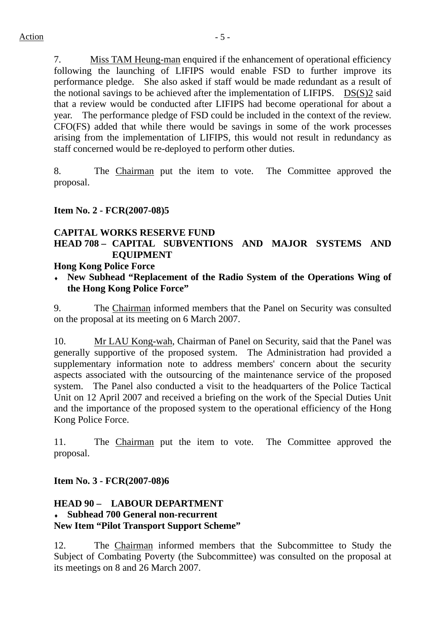7. Miss TAM Heung-man enquired if the enhancement of operational efficiency following the launching of LIFIPS would enable FSD to further improve its performance pledge. She also asked if staff would be made redundant as a result of the notional savings to be achieved after the implementation of LIFIPS.  $DS(S)2$  said that a review would be conducted after LIFIPS had become operational for about a year. The performance pledge of FSD could be included in the context of the review. CFO(FS) added that while there would be savings in some of the work processes arising from the implementation of LIFIPS, this would not result in redundancy as staff concerned would be re-deployed to perform other duties.

8. The Chairman put the item to vote. The Committee approved the proposal.

## **Item No. 2 - FCR(2007-08)5**

## **CAPITAL WORKS RESERVE FUND**

# **HEAD 708 – CAPITAL SUBVENTIONS AND MAJOR SYSTEMS AND EQUIPMENT**

### **Hong Kong Police Force**

♦ **New Subhead "Replacement of the Radio System of the Operations Wing of the Hong Kong Police Force"** 

9. The Chairman informed members that the Panel on Security was consulted on the proposal at its meeting on 6 March 2007.

10. Mr LAU Kong-wah, Chairman of Panel on Security, said that the Panel was generally supportive of the proposed system. The Administration had provided a supplementary information note to address members' concern about the security aspects associated with the outsourcing of the maintenance service of the proposed system. The Panel also conducted a visit to the headquarters of the Police Tactical Unit on 12 April 2007 and received a briefing on the work of the Special Duties Unit and the importance of the proposed system to the operational efficiency of the Hong Kong Police Force.

11. The Chairman put the item to vote. The Committee approved the proposal.

**Item No. 3 - FCR(2007-08)6** 

## **HEAD 90 – LABOUR DEPARTMENT**  ♦ **Subhead 700 General non-recurrent New Item "Pilot Transport Support Scheme"**

12. The Chairman informed members that the Subcommittee to Study the Subject of Combating Poverty (the Subcommittee) was consulted on the proposal at its meetings on 8 and 26 March 2007.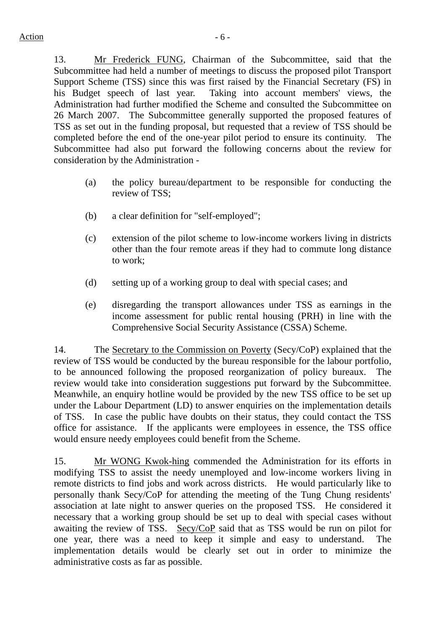13. Mr Frederick FUNG, Chairman of the Subcommittee, said that the Subcommittee had held a number of meetings to discuss the proposed pilot Transport Support Scheme (TSS) since this was first raised by the Financial Secretary (FS) in his Budget speech of last year. Taking into account members' views, the Administration had further modified the Scheme and consulted the Subcommittee on 26 March 2007. The Subcommittee generally supported the proposed features of TSS as set out in the funding proposal, but requested that a review of TSS should be completed before the end of the one-year pilot period to ensure its continuity. The Subcommittee had also put forward the following concerns about the review for consideration by the Administration -

- (a) the policy bureau/department to be responsible for conducting the review of TSS;
- (b) a clear definition for "self-employed";
- (c) extension of the pilot scheme to low-income workers living in districts other than the four remote areas if they had to commute long distance to work;
- (d) setting up of a working group to deal with special cases; and
- (e) disregarding the transport allowances under TSS as earnings in the income assessment for public rental housing (PRH) in line with the Comprehensive Social Security Assistance (CSSA) Scheme.

14. The Secretary to the Commission on Poverty (Secy/CoP) explained that the review of TSS would be conducted by the bureau responsible for the labour portfolio, to be announced following the proposed reorganization of policy bureaux. The review would take into consideration suggestions put forward by the Subcommittee. Meanwhile, an enquiry hotline would be provided by the new TSS office to be set up under the Labour Department (LD) to answer enquiries on the implementation details of TSS. In case the public have doubts on their status, they could contact the TSS office for assistance. If the applicants were employees in essence, the TSS office would ensure needy employees could benefit from the Scheme.

15. Mr WONG Kwok-hing commended the Administration for its efforts in modifying TSS to assist the needy unemployed and low-income workers living in remote districts to find jobs and work across districts. He would particularly like to personally thank Secy/CoP for attending the meeting of the Tung Chung residents' association at late night to answer queries on the proposed TSS. He considered it necessary that a working group should be set up to deal with special cases without awaiting the review of TSS. Secy/CoP said that as TSS would be run on pilot for one year, there was a need to keep it simple and easy to understand. The implementation details would be clearly set out in order to minimize the administrative costs as far as possible.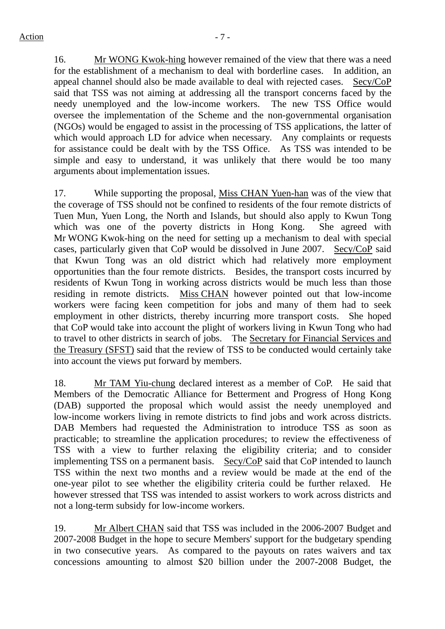16. Mr WONG Kwok-hing however remained of the view that there was a need for the establishment of a mechanism to deal with borderline cases. In addition, an appeal channel should also be made available to deal with rejected cases. Secy/CoP said that TSS was not aiming at addressing all the transport concerns faced by the needy unemployed and the low-income workers. The new TSS Office would oversee the implementation of the Scheme and the non-governmental organisation (NGOs) would be engaged to assist in the processing of TSS applications, the latter of which would approach LD for advice when necessary. Any complaints or requests for assistance could be dealt with by the TSS Office. As TSS was intended to be simple and easy to understand, it was unlikely that there would be too many arguments about implementation issues.

17. While supporting the proposal, Miss CHAN Yuen-han was of the view that the coverage of TSS should not be confined to residents of the four remote districts of Tuen Mun, Yuen Long, the North and Islands, but should also apply to Kwun Tong which was one of the poverty districts in Hong Kong. She agreed with Mr WONG Kwok-hing on the need for setting up a mechanism to deal with special cases, particularly given that CoP would be dissolved in June 2007. Secy/CoP said that Kwun Tong was an old district which had relatively more employment opportunities than the four remote districts. Besides, the transport costs incurred by residents of Kwun Tong in working across districts would be much less than those residing in remote districts. Miss CHAN however pointed out that low-income workers were facing keen competition for jobs and many of them had to seek employment in other districts, thereby incurring more transport costs. She hoped that CoP would take into account the plight of workers living in Kwun Tong who had to travel to other districts in search of jobs. The Secretary for Financial Services and the Treasury (SFST) said that the review of TSS to be conducted would certainly take into account the views put forward by members.

18. Mr TAM Yiu-chung declared interest as a member of CoP. He said that Members of the Democratic Alliance for Betterment and Progress of Hong Kong (DAB) supported the proposal which would assist the needy unemployed and low-income workers living in remote districts to find jobs and work across districts. DAB Members had requested the Administration to introduce TSS as soon as practicable; to streamline the application procedures; to review the effectiveness of TSS with a view to further relaxing the eligibility criteria; and to consider implementing TSS on a permanent basis. Secy/CoP said that CoP intended to launch TSS within the next two months and a review would be made at the end of the one-year pilot to see whether the eligibility criteria could be further relaxed. He however stressed that TSS was intended to assist workers to work across districts and not a long-term subsidy for low-income workers.

19. Mr Albert CHAN said that TSS was included in the 2006-2007 Budget and 2007-2008 Budget in the hope to secure Members' support for the budgetary spending in two consecutive years. As compared to the payouts on rates waivers and tax concessions amounting to almost \$20 billion under the 2007-2008 Budget, the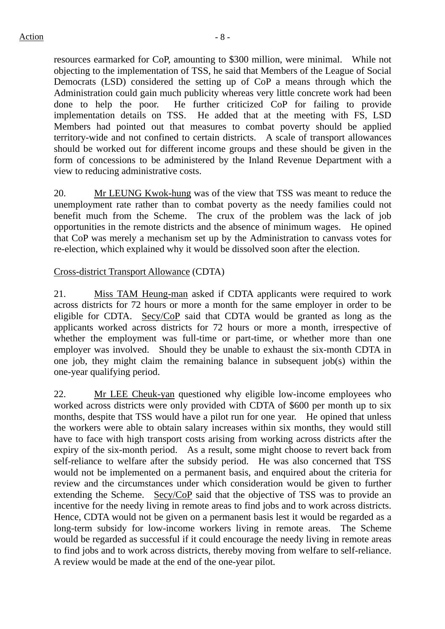resources earmarked for CoP, amounting to \$300 million, were minimal. While not objecting to the implementation of TSS, he said that Members of the League of Social Democrats (LSD) considered the setting up of CoP a means through which the Administration could gain much publicity whereas very little concrete work had been done to help the poor. He further criticized CoP for failing to provide implementation details on TSS. He added that at the meeting with FS, LSD Members had pointed out that measures to combat poverty should be applied territory-wide and not confined to certain districts. A scale of transport allowances should be worked out for different income groups and these should be given in the form of concessions to be administered by the Inland Revenue Department with a view to reducing administrative costs.

20. Mr LEUNG Kwok-hung was of the view that TSS was meant to reduce the unemployment rate rather than to combat poverty as the needy families could not benefit much from the Scheme. The crux of the problem was the lack of job opportunities in the remote districts and the absence of minimum wages. He opined that CoP was merely a mechanism set up by the Administration to canvass votes for re-election, which explained why it would be dissolved soon after the election.

## Cross-district Transport Allowance (CDTA)

21. Miss TAM Heung-man asked if CDTA applicants were required to work across districts for 72 hours or more a month for the same employer in order to be eligible for CDTA. Secy/CoP said that CDTA would be granted as long as the applicants worked across districts for 72 hours or more a month, irrespective of whether the employment was full-time or part-time, or whether more than one employer was involved. Should they be unable to exhaust the six-month CDTA in one job, they might claim the remaining balance in subsequent job(s) within the one-year qualifying period.

22. Mr LEE Cheuk-yan questioned why eligible low-income employees who worked across districts were only provided with CDTA of \$600 per month up to six months, despite that TSS would have a pilot run for one year. He opined that unless the workers were able to obtain salary increases within six months, they would still have to face with high transport costs arising from working across districts after the expiry of the six-month period. As a result, some might choose to revert back from self-reliance to welfare after the subsidy period. He was also concerned that TSS would not be implemented on a permanent basis, and enquired about the criteria for review and the circumstances under which consideration would be given to further extending the Scheme. Secy/CoP said that the objective of TSS was to provide an incentive for the needy living in remote areas to find jobs and to work across districts. Hence, CDTA would not be given on a permanent basis lest it would be regarded as a long-term subsidy for low-income workers living in remote areas. The Scheme would be regarded as successful if it could encourage the needy living in remote areas to find jobs and to work across districts, thereby moving from welfare to self-reliance. A review would be made at the end of the one-year pilot.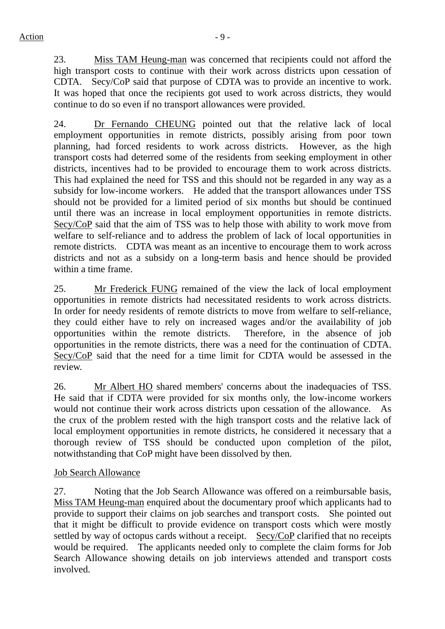23. Miss TAM Heung-man was concerned that recipients could not afford the high transport costs to continue with their work across districts upon cessation of CDTA. Secy/CoP said that purpose of CDTA was to provide an incentive to work. It was hoped that once the recipients got used to work across districts, they would continue to do so even if no transport allowances were provided.

24. Dr Fernando CHEUNG pointed out that the relative lack of local employment opportunities in remote districts, possibly arising from poor town planning, had forced residents to work across districts. However, as the high transport costs had deterred some of the residents from seeking employment in other districts, incentives had to be provided to encourage them to work across districts. This had explained the need for TSS and this should not be regarded in any way as a subsidy for low-income workers. He added that the transport allowances under TSS should not be provided for a limited period of six months but should be continued until there was an increase in local employment opportunities in remote districts. Secy/CoP said that the aim of TSS was to help those with ability to work move from welfare to self-reliance and to address the problem of lack of local opportunities in remote districts. CDTA was meant as an incentive to encourage them to work across districts and not as a subsidy on a long-term basis and hence should be provided within a time frame.

25. Mr Frederick FUNG remained of the view the lack of local employment opportunities in remote districts had necessitated residents to work across districts. In order for needy residents of remote districts to move from welfare to self-reliance, they could either have to rely on increased wages and/or the availability of job opportunities within the remote districts. Therefore, in the absence of job opportunities in the remote districts, there was a need for the continuation of CDTA. Secy/CoP said that the need for a time limit for CDTA would be assessed in the review.

26. Mr Albert HO shared members' concerns about the inadequacies of TSS. He said that if CDTA were provided for six months only, the low-income workers would not continue their work across districts upon cessation of the allowance. As the crux of the problem rested with the high transport costs and the relative lack of local employment opportunities in remote districts, he considered it necessary that a thorough review of TSS should be conducted upon completion of the pilot, notwithstanding that CoP might have been dissolved by then.

#### Job Search Allowance

27. Noting that the Job Search Allowance was offered on a reimbursable basis, Miss TAM Heung-man enquired about the documentary proof which applicants had to provide to support their claims on job searches and transport costs. She pointed out that it might be difficult to provide evidence on transport costs which were mostly settled by way of octopus cards without a receipt. Secy/CoP clarified that no receipts would be required. The applicants needed only to complete the claim forms for Job Search Allowance showing details on job interviews attended and transport costs involved.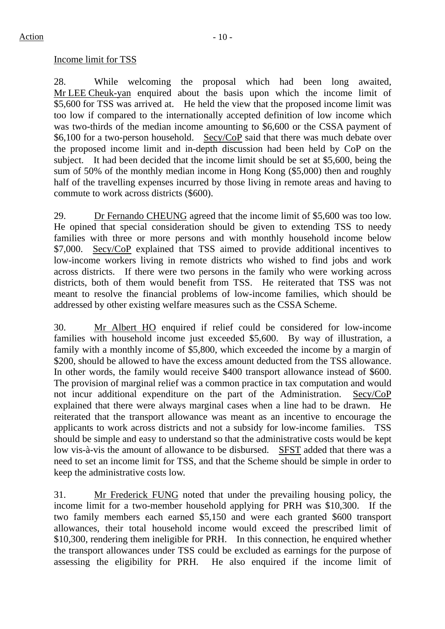#### Income limit for TSS

28. While welcoming the proposal which had been long awaited, Mr LEE Cheuk-yan enquired about the basis upon which the income limit of \$5,600 for TSS was arrived at. He held the view that the proposed income limit was too low if compared to the internationally accepted definition of low income which was two-thirds of the median income amounting to \$6,600 or the CSSA payment of \$6,100 for a two-person household. Secy/CoP said that there was much debate over the proposed income limit and in-depth discussion had been held by CoP on the subject. It had been decided that the income limit should be set at \$5,600, being the sum of 50% of the monthly median income in Hong Kong (\$5,000) then and roughly half of the travelling expenses incurred by those living in remote areas and having to commute to work across districts (\$600).

29. Dr Fernando CHEUNG agreed that the income limit of \$5,600 was too low. He opined that special consideration should be given to extending TSS to needy families with three or more persons and with monthly household income below \$7,000. Secy/CoP explained that TSS aimed to provide additional incentives to low-income workers living in remote districts who wished to find jobs and work across districts. If there were two persons in the family who were working across districts, both of them would benefit from TSS. He reiterated that TSS was not meant to resolve the financial problems of low-income families, which should be addressed by other existing welfare measures such as the CSSA Scheme.

30. Mr Albert HO enquired if relief could be considered for low-income families with household income just exceeded \$5,600. By way of illustration, a family with a monthly income of \$5,800, which exceeded the income by a margin of \$200, should be allowed to have the excess amount deducted from the TSS allowance. In other words, the family would receive \$400 transport allowance instead of \$600. The provision of marginal relief was a common practice in tax computation and would not incur additional expenditure on the part of the Administration. Secy/CoP explained that there were always marginal cases when a line had to be drawn. He reiterated that the transport allowance was meant as an incentive to encourage the applicants to work across districts and not a subsidy for low-income families. TSS should be simple and easy to understand so that the administrative costs would be kept low vis-à-vis the amount of allowance to be disbursed. SFST added that there was a need to set an income limit for TSS, and that the Scheme should be simple in order to keep the administrative costs low.

31. Mr Frederick FUNG noted that under the prevailing housing policy, the income limit for a two-member household applying for PRH was \$10,300. If the two family members each earned \$5,150 and were each granted \$600 transport allowances, their total household income would exceed the prescribed limit of \$10,300, rendering them ineligible for PRH. In this connection, he enquired whether the transport allowances under TSS could be excluded as earnings for the purpose of assessing the eligibility for PRH. He also enquired if the income limit of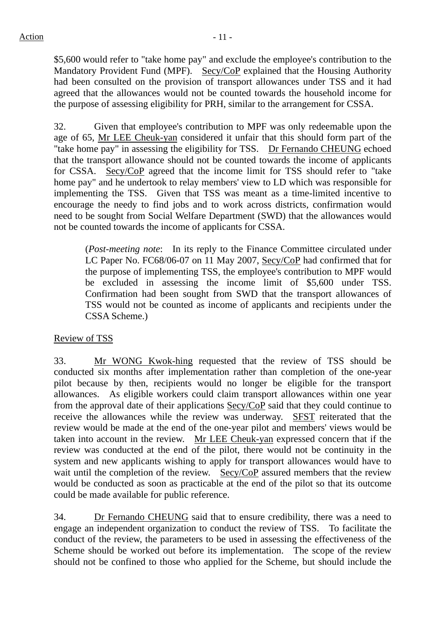\$5,600 would refer to "take home pay" and exclude the employee's contribution to the Mandatory Provident Fund (MPF). Secy/CoP explained that the Housing Authority had been consulted on the provision of transport allowances under TSS and it had agreed that the allowances would not be counted towards the household income for the purpose of assessing eligibility for PRH, similar to the arrangement for CSSA.

32. Given that employee's contribution to MPF was only redeemable upon the age of 65, Mr LEE Cheuk-yan considered it unfair that this should form part of the "take home pay" in assessing the eligibility for TSS. Dr Fernando CHEUNG echoed that the transport allowance should not be counted towards the income of applicants for CSSA. Secy/CoP agreed that the income limit for TSS should refer to "take home pay" and he undertook to relay members' view to LD which was responsible for implementing the TSS. Given that TSS was meant as a time-limited incentive to encourage the needy to find jobs and to work across districts, confirmation would need to be sought from Social Welfare Department (SWD) that the allowances would not be counted towards the income of applicants for CSSA.

(*Post-meeting note*: In its reply to the Finance Committee circulated under LC Paper No. FC68/06-07 on 11 May 2007, Secy/CoP had confirmed that for the purpose of implementing TSS, the employee's contribution to MPF would be excluded in assessing the income limit of \$5,600 under TSS. Confirmation had been sought from SWD that the transport allowances of TSS would not be counted as income of applicants and recipients under the CSSA Scheme.)

# Review of TSS

33. Mr WONG Kwok-hing requested that the review of TSS should be conducted six months after implementation rather than completion of the one-year pilot because by then, recipients would no longer be eligible for the transport allowances. As eligible workers could claim transport allowances within one year from the approval date of their applications Secy/CoP said that they could continue to receive the allowances while the review was underway. SFST reiterated that the review would be made at the end of the one-year pilot and members' views would be taken into account in the review. Mr LEE Cheuk-yan expressed concern that if the review was conducted at the end of the pilot, there would not be continuity in the system and new applicants wishing to apply for transport allowances would have to wait until the completion of the review. Secy/CoP assured members that the review would be conducted as soon as practicable at the end of the pilot so that its outcome could be made available for public reference.

34. Dr Fernando CHEUNG said that to ensure credibility, there was a need to engage an independent organization to conduct the review of TSS. To facilitate the conduct of the review, the parameters to be used in assessing the effectiveness of the Scheme should be worked out before its implementation. The scope of the review should not be confined to those who applied for the Scheme, but should include the